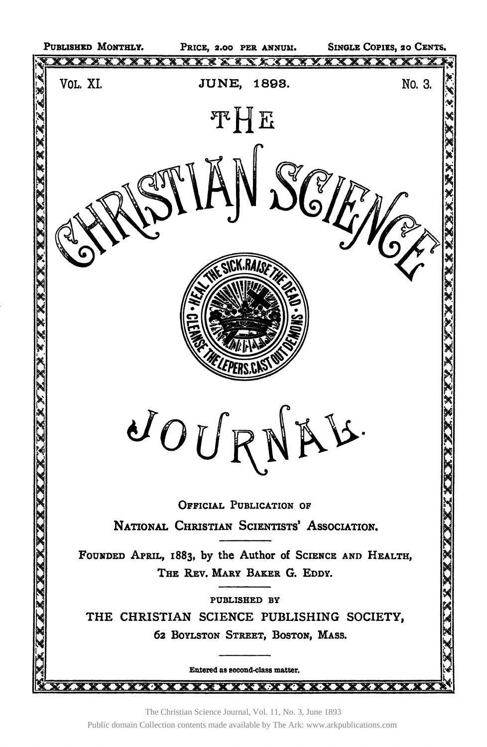

The Christian Science Journal, Vol. 11, No. 3, June 1893 Public domain Collection contents made available by The Ark: www.arkpublications.com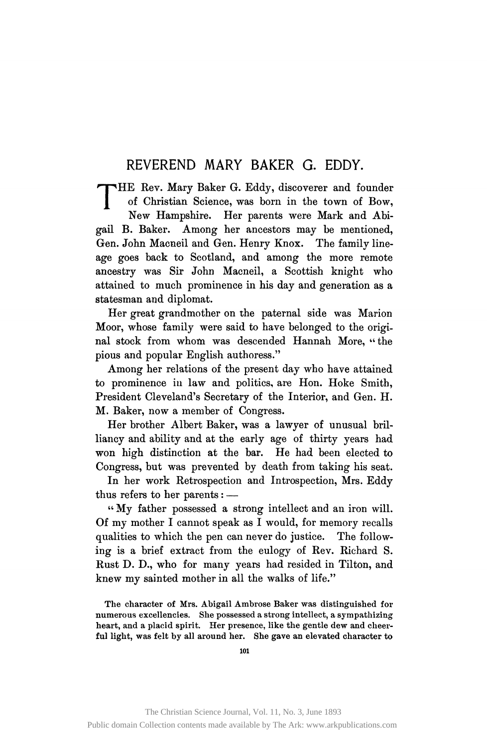## REVEREND MARY BAKER G. EDDY.

THE Rev. Mary Baker G. Eddy, discoverer and founder<br>of Christian Science, was born in the town of Bow,<br>New Hampshire. Her parents were Mark and Abiof Christian Science, was born in the town of Bow, New Hampshire. Her parents were Mark and Abigail B. Baker. Among her ancestors may be mentioned, Gen. John Macneil and Gen. Henry Knox. The family lineage goes back to Scotland, and among the more remote ancestry was Sir John Macneil, a Scottish knight who attained to much prominence in his day and generation as a statesman and diplomat.

Her great grandmother on the paternal side was Marion Moor, whose family were said to have belonged to the original stock from whom was descended Hannah More, "the pious and popular English authoress."

Among her relations of the present day who have attained to prominence in law and politics, are Hon. Hoke Smith, President Cleveland's Secretary of the Interior, and Gen. H. M. Baker, now a member of Congress.

Her brother Albert Baker, was a lawyer of unusual brilliancy and ability and at the early age of thirty years had won high distinction at the bar. He had been elected to Congress, but was prevented by death from taking his seat.

In her work Retrospection and Introspection, Mrs. Eddy thus refers to her parents: —

" My father possessed a strong intellect and an iron will. Of my mother I cannot speak as I would, for memory recalls qualities to which the pen can never do justice. The following is a brief extract from the eulogy of Rev. Richard S. Rust D. D., who for many years had resided in Tilton, and knew my sainted mother in all the walks of life."

The character of Mrs. Abigail Ambrose Baker was distinguished for numerous excellencies. She possessed a strong intellect, a sympathizing heart, and a placid spirit. Her presence, like the gentle dew and cheerful light, was felt by all around her. She gave an elevated character to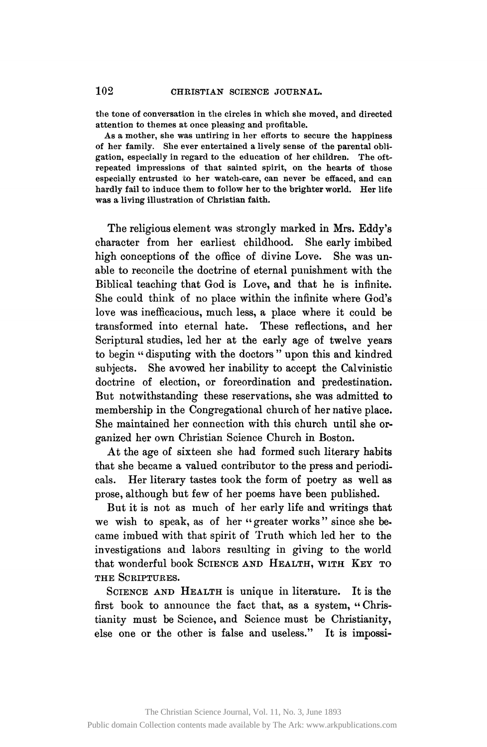**the tone of conversation in the circles in which she moved, and directed attention to themes at once pleasing and profitable.** 

**As a mother, she was untiring in her efforts to secure the happiness of her family. She ever entertained a lively sense of the parental obligation, especially in regard to the education of her children. The oftrepeated impressions of that sainted spirit, on the hearts of those especially entrusted to her watch-care, can never be effaced, and can hardly fail to induce them to follow her to the brighter world. Her life was a living illustration of Christian faith.** 

The religious element was strongly marked in Mrs. Eddy's character from her earliest childhood. She early imbibed high conceptions of the office of divine Love. She was unable to reconcile the doctrine of eternal punishment with the Biblical teaching that God is Love, and that he is infinite. She could think of no place within the infinite where God's love was inefficacious, much less, a place where it could be transformed into eternal hate. These reflections, and her Scriptural studies, led her at the early age of twelve years to begin " disputing with the doctors" upon this and kindred subjects. She avowed her inability to accept the Calvinistic doctrine of election, or foreordination and predestination. But notwithstanding these reservations, she was admitted to membership in the Congregational church of her native place. She maintained her connection with this church until she organized her own Christian Science Church in Boston.

At the age of sixteen she had formed such literary habits that she became a valued contributor to the press and periodicals. Her literary tastes took the form of poetry as well as prose, although but few of her poems have been published.

But it is not as much of her early life and writings that we wish to speak, as of her "greater works" since she became imbued with that spirit of Truth which led her to the investigations and labors resulting in giving to the world that wonderful book SCIENCE AND HEALTH, WITH KEY TO **THE SCRIPTURES.** 

SCIENCE AND HEALTH is unique in literature. It is the first book to announce the fact that, as a system, "Christianity must be Science, and Science must be Christianity, else one or the other is false and useless." It is impossi-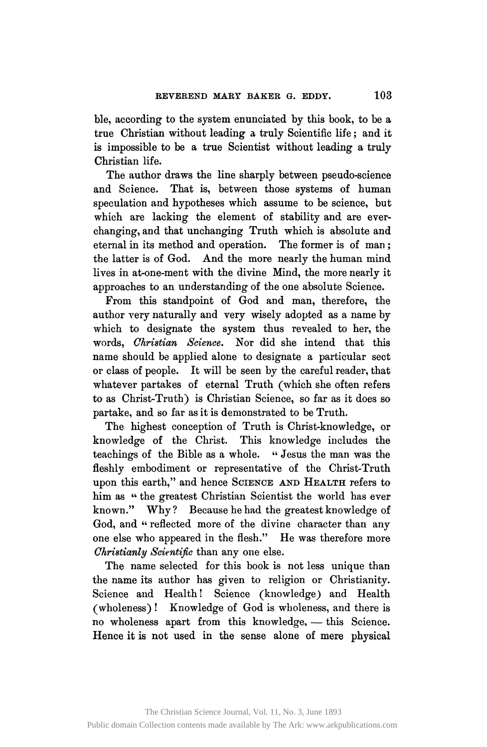ble, according to the system enunciated by this book, to be a true Christian without leading a truly Scientific life; and it is impossible to be a true Scientist without leading a truly Christian life.

The author draws the line sharply between pseudo-science and Science. That is, between those systems of human speculation and hypotheses which assume to be science, but which are lacking the element of stability and are everchanging, and that unchanging Truth which is absolute and eternal in its method and operation. The former is of man ; the latter is of God. And the more nearly the human mind lives in at-one-ment with the divine Mind, the more nearly it approaches to an understanding of the one absolute Science.

From this standpoint of God and man, therefore, the author very naturally and very wisely adopted as a name by which to designate the system thus revealed to her, the words, *Christian Science.* Nor did she intend that this name should be applied alone to designate a particular sect or class of people. It will be seen by the careful reader, that whatever partakes of eternal Truth (which she often refers to as Christ-Truth) is Christian Science, so far as it does so partake, and so far as it is demonstrated to be Truth.

The highest conception of Truth is Christ-knowledge, or knowledge of the Christ. This knowledge includes the teachings of the Bible as a whole. " Jesus the man was the fleshly embodiment or representative of the Christ-Truth upon this earth," and hence SCIENCE AND HEALTH refers to him as " the greatest Christian Scientist the world has ever known." Why? Because he had the greatest knowledge of God, and " reflected more of the divine character than any one else who appeared in the flesh." He was therefore more *Christianly Scientific* than any one else.

The name selected for this book is not less unique than the name its author has given to religion or Christianity. Science and Health! Science (knowledge) and Health (wholeness) ! Knowledge of God is wholeness, and there is no wholeness apart from this knowledge, — this Science. Hence it is not used in the sense alone of mere physical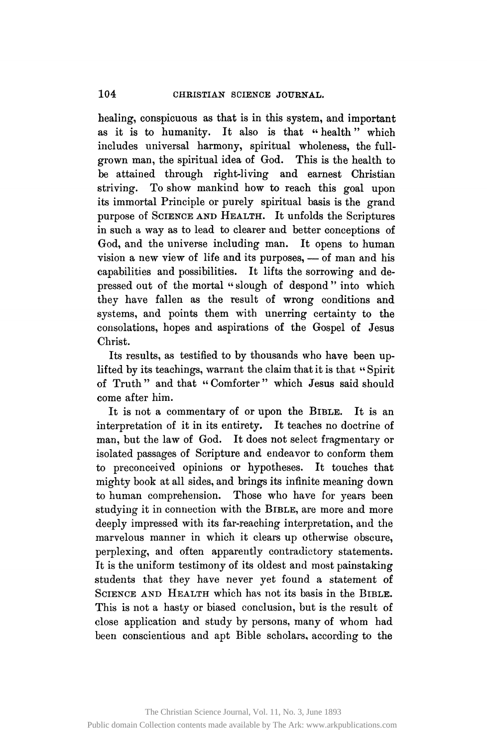healing, conspicuous as that is in this system, and important as it is to humanity. It also is that " health" which includes universal harmony, spiritual wholeness, the fullgrown man, the spiritual idea of God. This is the health to be attained through right-living and earnest Christian striving. To show mankind how to reach this goal upon its immortal Principle or purely spiritual basis is the grand purpose of SCIENCE AND HEALTH. It unfolds the Scriptures in such a way as to lead to clearer and better conceptions of God, and the universe including man. It opens to human vision a new view of life and its purposes, — of man and his capabilities and possibilities. It lifts the sorrowing and depressed out of the mortal "slough of despond" into which they have fallen as the result of wrong conditions and systems, and points them with unerring certainty to the consolations, hopes and aspirations of the Gospel of Jesus Christ.

Its results, as testified to by thousands who have been uplifted by its teachings, warrant the claim that it is that " Spirit of Truth " and that " Comforter" which Jesus said should come after him.

It is not a commentary of or upon the BIBLE. It is an interpretation of it in its entirety. It teaches no doctrine of man, but the law of God. It does not select fragmentary or isolated passages of Scripture and endeavor to conform them to preconceived opinions or hypotheses. It touches that mighty book at all sides, and brings its infinite meaning down to human comprehension. Those who have for years been studying it in connection with the BIBLE, are more and more deeply impressed with its far-reaching interpretation, and the marvelous manner in which it clears up otherwise obscure, perplexing, and often apparently contradictory statements. It is the uniform testimony of its oldest and most painstaking students that they have never yet found a statement of SCIENCE AND HEALTH which has not its basis in the BIBLE. This is not a hasty or biased conclusion, but is the result of close application and study by persons, many of whom had been conscientious and apt Bible scholars, according to the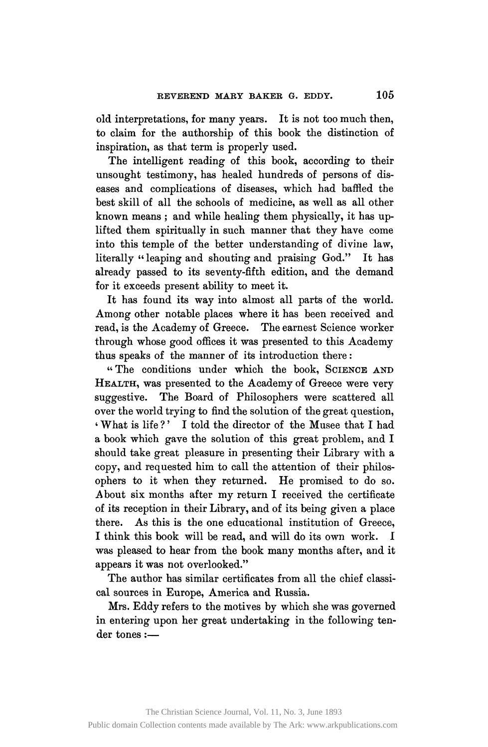old interpretations, for many years. It is not too much then, to claim for the authorship of this book the distinction of inspiration, as that term is properly used.

The intelligent reading of this book, according to their unsought testimony, has healed hundreds of persons of diseases and complications of diseases, which had baffled the best skill of all the schools of medicine, as well as all other known means ; and while healing them physically, it has uplifted them spiritually in such manner that they have come into this temple of the better understanding of divine law, literally "leaping and shouting and praising God." It has already passed to its seventy-fifth edition, and the demand for it exceeds present ability to meet it.

It has found its way into almost all parts of the world. Among other notable places where it has been received and read, is the Academy of Greece. The earnest Science worker through whose good offices it was presented to this Academy thus speaks of the manner of its introduction there :

"The conditions under which the book, SCIENCE AND HEALTH, was presented to the Academy of Greece were very suggestive. The Board of Philosophers were scattered all over the world trying to find the solution of the great question, ' What is life ?' I told the director of the Musee that I had a book which gave the solution of this great problem, and I should take great pleasure in presenting their Library with a copy, and requested him to call the attention of their philosophers to it when they returned. He promised to do so. About six months after my return I received the certificate of its reception in their Library, and of its being given a place there. As this is the one educational institution of Greece, I think this book will be read, and will do its own work. I was pleased to hear from the book many months after, and it appears it was not overlooked."

The author has similar certificates from all the chief classical sources in Europe, America and Russia.

Mrs. Eddy refers to the motives by which she was governed in entering upon her great undertaking in the following tender tones:—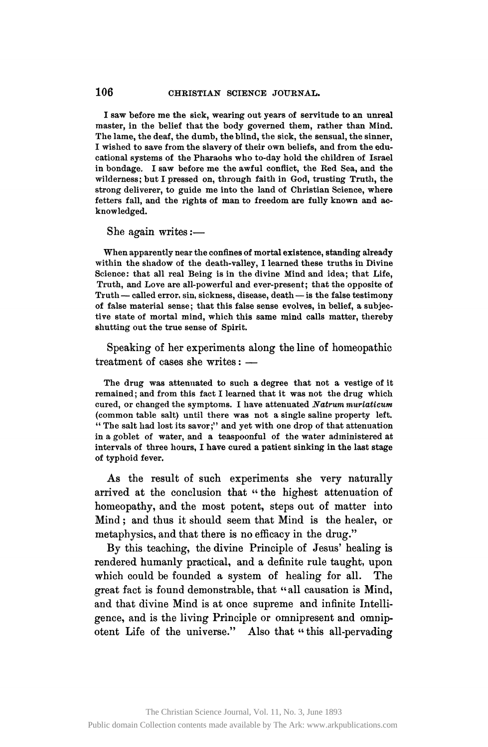## 106 **CHRISTIAN SCIENCE JOURNAL.**

**I saw before me the sick, wearing out years of servitude to an unreal master, in the belief that the body governed them, rather than Mind. The lame, the deaf, the dumb, the blind, the sick, the sensual, the sinner, I wished to save from the slavery of their own beliefs, and from the educational systems of the Pharaohs who to-day hold the children of Israel in bondage. I saw before me the awful conflict, the Red Sea, and the wilderness; but I pressed on, through faith in God, trusting Truth, the strong deliverer, to guide me into the land of Christian Science, where fetters fall, and the rights of man to freedom are fully known and acknowledged.** 

She again writes:—

**When apparently near the confines of mortal existence, standing already within the shadow of the death-valley, I learned these truths in Divine Science: that all real Being is in the divine Mind and idea; that Life, Truth, and Love are all-powerful and ever-present; that the opposite of Truth— called error, sin, sickness, disease, death—is the false testimony of false material sense; that this false sense evolves, in belief, a subjective state of mortal mind, which this same mind calls matter, thereby shutting out the true sense of Spirit.** 

Speaking of her experiments along the line of homeopathic treatment of cases she writes: —

**The drug was attenuated to such a degree that not a vestige of it remained; and from this fact I learned that it was not the drug which cured, or changed the symptoms. I have attenuated** *Natrum muriaticum*  **(common table salt) until there was not a single saline property left. " The salt had lost its savor;" and yet with one drop of that attenuation in a goblet of water, and a teaspoonful of the water administered at intervals of three hours, I have cured a patient sinking in the last stage of typhoid fever.** 

As the result of such experiments she very naturally arrived at the conclusion that " the highest attenuation of homeopathy, and the most potent, steps out of matter into Mind ; and thus it should seem that Mind is the healer, or metaphysics, and that there is no efficacy in the drug."

By this teaching, the divine Principle of Jesus' healing is rendered humanly practical, and a definite rule taught, upon which could be founded a system of healing for all. The great fact is found demonstrable, that "all causation is Mind, and that divine Mind is at once supreme and infinite Intelligence, and is the living Principle or omnipresent and omnipotent Life of the universe." Also that "this all-pervading